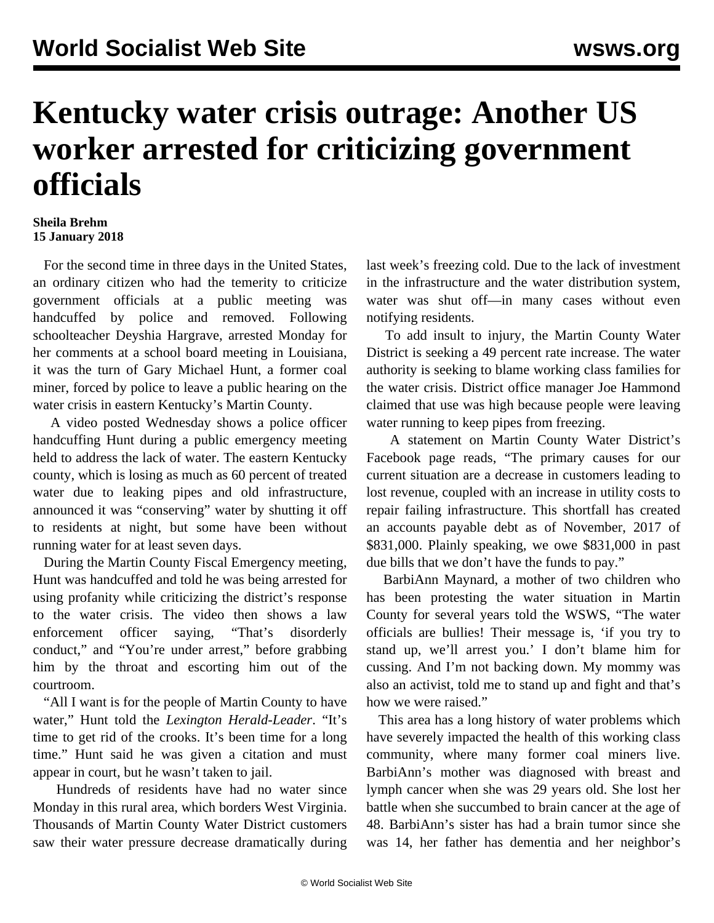## **Kentucky water crisis outrage: Another US worker arrested for criticizing government officials**

## **Sheila Brehm 15 January 2018**

 For the second time in three days in the United States, an ordinary citizen who had the temerity to criticize government officials at a public meeting was handcuffed by police and removed. Following schoolteacher Deyshia Hargrave, arrested Monday for her comments at a school board meeting in Louisiana, it was the turn of Gary Michael Hunt, a former coal miner, forced by police to leave a public hearing on the water crisis in eastern Kentucky's Martin County.

 A video posted Wednesday shows a police officer handcuffing Hunt during a public emergency meeting held to address the lack of water. The eastern Kentucky county, which is losing as much as 60 percent of treated water due to leaking pipes and old infrastructure, announced it was "conserving" water by shutting it off to residents at night, but some have been without running water for at least seven days.

 During the Martin County Fiscal Emergency meeting, Hunt was handcuffed and told he was being arrested for using profanity while criticizing the district's response to the water crisis. The video then shows a law enforcement officer saying, "That's disorderly conduct," and "You're under arrest," before grabbing him by the throat and escorting him out of the courtroom.

 "All I want is for the people of Martin County to have water," Hunt told the *Lexington Herald-Leader*. "It's time to get rid of the crooks. It's been time for a long time." Hunt said he was given a citation and must appear in court, but he wasn't taken to jail.

 Hundreds of residents have had no water since Monday in this rural area, which borders West Virginia. Thousands of Martin County Water District customers saw their water pressure decrease dramatically during last week's freezing cold. Due to the lack of investment in the infrastructure and the water distribution system, water was shut off—in many cases without even notifying residents.

 To add insult to injury, the Martin County Water District is seeking a 49 percent rate increase. The water authority is seeking to blame working class families for the water crisis. District office manager Joe Hammond claimed that use was high because people were leaving water running to keep pipes from freezing.

 A statement on Martin County Water District's Facebook page reads, "The primary causes for our current situation are a decrease in customers leading to lost revenue, coupled with an increase in utility costs to repair failing infrastructure. This shortfall has created an accounts payable debt as of November, 2017 of \$831,000. Plainly speaking, we owe \$831,000 in past due bills that we don't have the funds to pay."

 BarbiAnn Maynard, a mother of two children who has been protesting the water situation in Martin County for several years told the WSWS, "The water officials are bullies! Their message is, 'if you try to stand up, we'll arrest you.' I don't blame him for cussing. And I'm not backing down. My mommy was also an activist, told me to stand up and fight and that's how we were raised."

 This area has a long history of water problems which have severely impacted the health of this working class community, where many former coal miners live. BarbiAnn's mother was diagnosed with breast and lymph cancer when she was 29 years old. She lost her battle when she succumbed to brain cancer at the age of 48. BarbiAnn's sister has had a brain tumor since she was 14, her father has dementia and her neighbor's